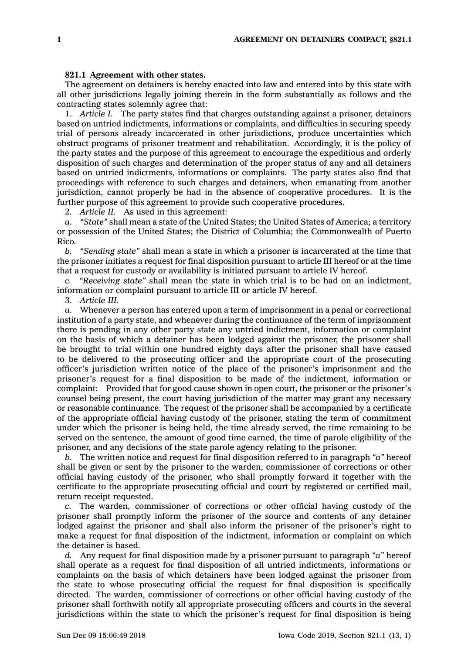## **821.1 Agreement with other states.**

The agreement on detainers is hereby enacted into law and entered into by this state with all other jurisdictions legally joining therein in the form substantially as follows and the contracting states solemnly agree that:

1. *Article I.* The party states find that charges outstanding against <sup>a</sup> prisoner, detainers based on untried indictments, informations or complaints, and difficulties in securing speedy trial of persons already incarcerated in other jurisdictions, produce uncertainties which obstruct programs of prisoner treatment and rehabilitation. Accordingly, it is the policy of the party states and the purpose of this agreement to encourage the expeditious and orderly disposition of such charges and determination of the proper status of any and all detainers based on untried indictments, informations or complaints. The party states also find that proceedings with reference to such charges and detainers, when emanating from another jurisdiction, cannot properly be had in the absence of cooperative procedures. It is the further purpose of this agreement to provide such cooperative procedures.

2. *Article II.* As used in this agreement:<br>*a. "State"* shall mean a state of the United

*a. "State"* shall mean <sup>a</sup> state of the United States; the United States of America; <sup>a</sup> territory or possession of the United States; the District of Columbia; the Commonwealth of Puerto Rico.

*b. "Sending state"* shall mean <sup>a</sup> state in which <sup>a</sup> prisoner is incarcerated at the time that the prisoner initiates <sup>a</sup> request for final disposition pursuant to article III hereof or at the time that <sup>a</sup> request for custody or availability is initiated pursuant to article IV hereof.

*c. "Receiving state"* shall mean the state in which trial is to be had on an indictment, information or complaint pursuant to article III or article IV hereof.

3. *Article III.*

*a.* Whenever <sup>a</sup> person has entered upon <sup>a</sup> term of imprisonment in <sup>a</sup> penal or correctional institution of <sup>a</sup> party state, and whenever during the continuance of the term of imprisonment there is pending in any other party state any untried indictment, information or complaint on the basis of which <sup>a</sup> detainer has been lodged against the prisoner, the prisoner shall be brought to trial within one hundred eighty days after the prisoner shall have caused to be delivered to the prosecuting officer and the appropriate court of the prosecuting officer's jurisdiction written notice of the place of the prisoner's imprisonment and the prisoner's request for <sup>a</sup> final disposition to be made of the indictment, information or complaint: Provided that for good cause shown in open court, the prisoner or the prisoner's counsel being present, the court having jurisdiction of the matter may grant any necessary or reasonable continuance. The request of the prisoner shall be accompanied by <sup>a</sup> certificate of the appropriate official having custody of the prisoner, stating the term of commitment under which the prisoner is being held, the time already served, the time remaining to be served on the sentence, the amount of good time earned, the time of parole eligibility of the prisoner, and any decisions of the state parole agency relating to the prisoner.

*b.* The written notice and request for final disposition referred to in paragraph *"a"* hereof shall be given or sent by the prisoner to the warden, commissioner of corrections or other official having custody of the prisoner, who shall promptly forward it together with the certificate to the appropriate prosecuting official and court by registered or certified mail, return receipt requested.

*c.* The warden, commissioner of corrections or other official having custody of the prisoner shall promptly inform the prisoner of the source and contents of any detainer lodged against the prisoner and shall also inform the prisoner of the prisoner's right to make <sup>a</sup> request for final disposition of the indictment, information or complaint on which the detainer is based.

*d.* Any request for final disposition made by <sup>a</sup> prisoner pursuant to paragraph *"a"* hereof shall operate as <sup>a</sup> request for final disposition of all untried indictments, informations or complaints on the basis of which detainers have been lodged against the prisoner from the state to whose prosecuting official the request for final disposition is specifically directed. The warden, commissioner of corrections or other official having custody of the prisoner shall forthwith notify all appropriate prosecuting officers and courts in the several jurisdictions within the state to which the prisoner's request for final disposition is being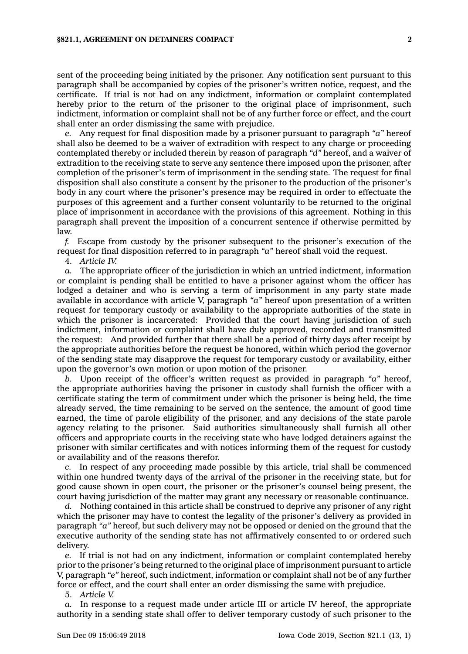## **§821.1, AGREEMENT ON DETAINERS COMPACT 2**

sent of the proceeding being initiated by the prisoner. Any notification sent pursuant to this paragraph shall be accompanied by copies of the prisoner's written notice, request, and the certificate. If trial is not had on any indictment, information or complaint contemplated hereby prior to the return of the prisoner to the original place of imprisonment, such indictment, information or complaint shall not be of any further force or effect, and the court shall enter an order dismissing the same with prejudice.

*e.* Any request for final disposition made by <sup>a</sup> prisoner pursuant to paragraph *"a"* hereof shall also be deemed to be <sup>a</sup> waiver of extradition with respect to any charge or proceeding contemplated thereby or included therein by reason of paragraph *"d"* hereof, and <sup>a</sup> waiver of extradition to the receiving state to serve any sentence there imposed upon the prisoner, after completion of the prisoner's term of imprisonment in the sending state. The request for final disposition shall also constitute <sup>a</sup> consent by the prisoner to the production of the prisoner's body in any court where the prisoner's presence may be required in order to effectuate the purposes of this agreement and <sup>a</sup> further consent voluntarily to be returned to the original place of imprisonment in accordance with the provisions of this agreement. Nothing in this paragraph shall prevent the imposition of <sup>a</sup> concurrent sentence if otherwise permitted by law.

*f.* Escape from custody by the prisoner subsequent to the prisoner's execution of the request for final disposition referred to in paragraph *"a"* hereof shall void the request.

4. *Article IV.*

*a.* The appropriate officer of the jurisdiction in which an untried indictment, information or complaint is pending shall be entitled to have <sup>a</sup> prisoner against whom the officer has lodged <sup>a</sup> detainer and who is serving <sup>a</sup> term of imprisonment in any party state made available in accordance with article V, paragraph *"a"* hereof upon presentation of <sup>a</sup> written request for temporary custody or availability to the appropriate authorities of the state in which the prisoner is incarcerated: Provided that the court having jurisdiction of such indictment, information or complaint shall have duly approved, recorded and transmitted the request: And provided further that there shall be <sup>a</sup> period of thirty days after receipt by the appropriate authorities before the request be honored, within which period the governor of the sending state may disapprove the request for temporary custody or availability, either upon the governor's own motion or upon motion of the prisoner.

*b.* Upon receipt of the officer's written request as provided in paragraph *"a"* hereof, the appropriate authorities having the prisoner in custody shall furnish the officer with <sup>a</sup> certificate stating the term of commitment under which the prisoner is being held, the time already served, the time remaining to be served on the sentence, the amount of good time earned, the time of parole eligibility of the prisoner, and any decisions of the state parole agency relating to the prisoner. Said authorities simultaneously shall furnish all other officers and appropriate courts in the receiving state who have lodged detainers against the prisoner with similar certificates and with notices informing them of the request for custody or availability and of the reasons therefor.

*c.* In respect of any proceeding made possible by this article, trial shall be commenced within one hundred twenty days of the arrival of the prisoner in the receiving state, but for good cause shown in open court, the prisoner or the prisoner's counsel being present, the court having jurisdiction of the matter may grant any necessary or reasonable continuance.

*d.* Nothing contained in this article shall be construed to deprive any prisoner of any right which the prisoner may have to contest the legality of the prisoner's delivery as provided in paragraph *"a"* hereof, but such delivery may not be opposed or denied on the ground that the executive authority of the sending state has not affirmatively consented to or ordered such delivery.

*e.* If trial is not had on any indictment, information or complaint contemplated hereby prior to the prisoner's being returned to the original place of imprisonment pursuant to article V, paragraph *"e"* hereof, such indictment, information or complaint shall not be of any further force or effect, and the court shall enter an order dismissing the same with prejudice.

5. *Article V.*

*a.* In response to <sup>a</sup> request made under article III or article IV hereof, the appropriate authority in <sup>a</sup> sending state shall offer to deliver temporary custody of such prisoner to the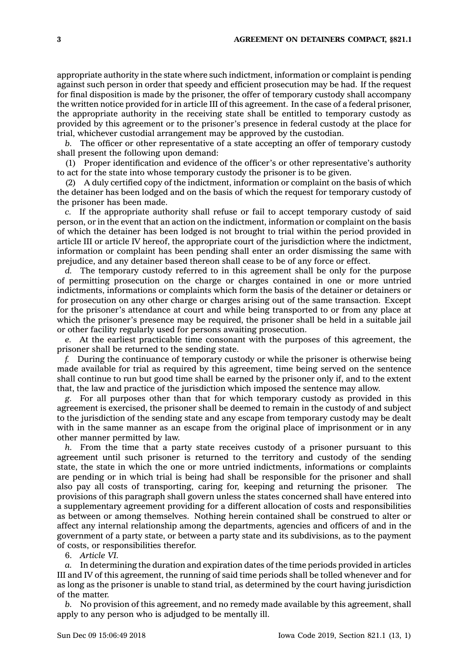appropriate authority in the state where such indictment, information or complaint is pending against such person in order that speedy and efficient prosecution may be had. If the request for final disposition is made by the prisoner, the offer of temporary custody shall accompany the written notice provided for in article III of this agreement. In the case of <sup>a</sup> federal prisoner, the appropriate authority in the receiving state shall be entitled to temporary custody as provided by this agreement or to the prisoner's presence in federal custody at the place for trial, whichever custodial arrangement may be approved by the custodian.

*b.* The officer or other representative of <sup>a</sup> state accepting an offer of temporary custody shall present the following upon demand:

(1) Proper identification and evidence of the officer's or other representative's authority to act for the state into whose temporary custody the prisoner is to be given.

(2) A duly certified copy of the indictment, information or complaint on the basis of which the detainer has been lodged and on the basis of which the request for temporary custody of the prisoner has been made.

*c.* If the appropriate authority shall refuse or fail to accept temporary custody of said person, or in the event that an action on the indictment, information or complaint on the basis of which the detainer has been lodged is not brought to trial within the period provided in article III or article IV hereof, the appropriate court of the jurisdiction where the indictment, information or complaint has been pending shall enter an order dismissing the same with prejudice, and any detainer based thereon shall cease to be of any force or effect.

*d.* The temporary custody referred to in this agreement shall be only for the purpose of permitting prosecution on the charge or charges contained in one or more untried indictments, informations or complaints which form the basis of the detainer or detainers or for prosecution on any other charge or charges arising out of the same transaction. Except for the prisoner's attendance at court and while being transported to or from any place at which the prisoner's presence may be required, the prisoner shall be held in <sup>a</sup> suitable jail or other facility regularly used for persons awaiting prosecution.

*e.* At the earliest practicable time consonant with the purposes of this agreement, the prisoner shall be returned to the sending state.

*f.* During the continuance of temporary custody or while the prisoner is otherwise being made available for trial as required by this agreement, time being served on the sentence shall continue to run but good time shall be earned by the prisoner only if, and to the extent that, the law and practice of the jurisdiction which imposed the sentence may allow.

*g.* For all purposes other than that for which temporary custody as provided in this agreement is exercised, the prisoner shall be deemed to remain in the custody of and subject to the jurisdiction of the sending state and any escape from temporary custody may be dealt with in the same manner as an escape from the original place of imprisonment or in any other manner permitted by law.

*h.* From the time that <sup>a</sup> party state receives custody of <sup>a</sup> prisoner pursuant to this agreement until such prisoner is returned to the territory and custody of the sending state, the state in which the one or more untried indictments, informations or complaints are pending or in which trial is being had shall be responsible for the prisoner and shall also pay all costs of transporting, caring for, keeping and returning the prisoner. The provisions of this paragraph shall govern unless the states concerned shall have entered into <sup>a</sup> supplementary agreement providing for <sup>a</sup> different allocation of costs and responsibilities as between or among themselves. Nothing herein contained shall be construed to alter or affect any internal relationship among the departments, agencies and officers of and in the government of <sup>a</sup> party state, or between <sup>a</sup> party state and its subdivisions, as to the payment of costs, or responsibilities therefor.

6. *Article VI.*

*a.* In determining the duration and expiration dates of the time periods provided in articles III and IV of this agreement, the running of said time periods shall be tolled whenever and for as long as the prisoner is unable to stand trial, as determined by the court having jurisdiction of the matter.

*b.* No provision of this agreement, and no remedy made available by this agreement, shall apply to any person who is adjudged to be mentally ill.